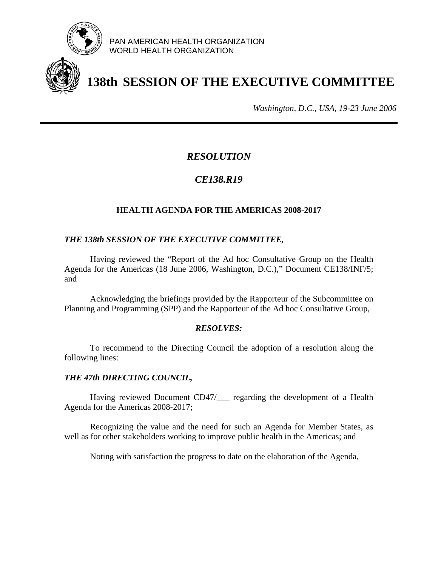

PAN AMERICAN HEALTH ORGANIZATION WORLD HEALTH ORGANIZATION

# **138th SESSION OF THE EXECUTIVE COMMITTEE**

*Washington, D.C., USA, 19-23 June 2006*

# *RESOLUTION*

# *CE138.R19*

## **HEALTH AGENDA FOR THE AMERICAS 2008-2017**

### *THE 138th SESSION OF THE EXECUTIVE COMMITTEE,*

 Having reviewed the "Report of the Ad hoc Consultative Group on the Health Agenda for the Americas (18 June 2006, Washington, D.C.)," Document CE138/INF/5; and

Acknowledging the briefings provided by the Rapporteur of the Subcommittee on Planning and Programming (SPP) and the Rapporteur of the Ad hoc Consultative Group,

#### *RESOLVES:*

 To recommend to the Directing Council the adoption of a resolution along the following lines:

#### *THE 47th DIRECTING COUNCIL,*

Having reviewed Document CD47/\_\_\_ regarding the development of a Health Agenda for the Americas 2008-2017;

 Recognizing the value and the need for such an Agenda for Member States, as well as for other stakeholders working to improve public health in the Americas; and

Noting with satisfaction the progress to date on the elaboration of the Agenda,